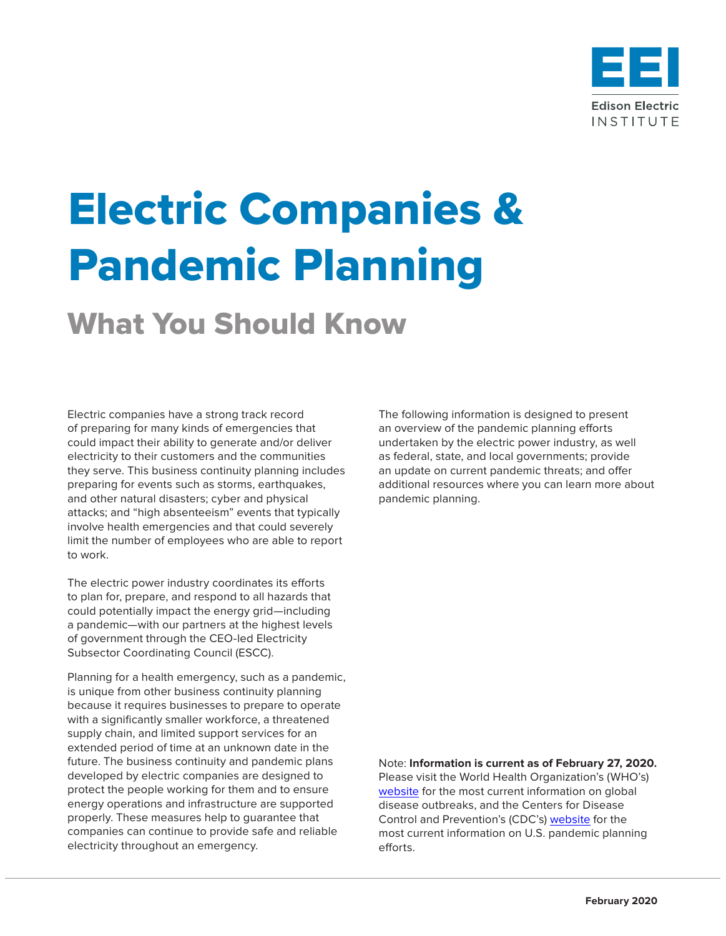

# Electric Companies & Pandemic Planning

## What You Should Know

Electric companies have a strong track record of preparing for many kinds of emergencies that could impact their ability to generate and/or deliver electricity to their customers and the communities they serve. This business continuity planning includes preparing for events such as storms, earthquakes, and other natural disasters; cyber and physical attacks; and "high absenteeism" events that typically involve health emergencies and that could severely limit the number of employees who are able to report to work.

The electric power industry coordinates its efforts to plan for, prepare, and respond to all hazards that could potentially impact the energy grid—including a pandemic—with our partners at the highest levels of government through the CEO-led [Electricity](https://www.electricitysubsector.org/-/media/Files/ESCC/Documents/ESCC_Brochure_July2019.ashx?la=en&hash=6895DE9CB737C2EB81D9E8CA063F0223F6F0B471)  [Subsector Coordinating Council \(ESCC](https://www.electricitysubsector.org/-/media/Files/ESCC/Documents/ESCC_Brochure_July2019.ashx?la=en&hash=6895DE9CB737C2EB81D9E8CA063F0223F6F0B471)).

Planning for a health emergency, such as a pandemic, is unique from other business continuity planning because it requires businesses to prepare to operate with a significantly smaller workforce, a threatened supply chain, and limited support services for an extended period of time at an unknown date in the future. The business continuity and pandemic plans developed by electric companies are designed to protect the people working for them and to ensure energy operations and infrastructure are supported properly. These measures help to guarantee that companies can continue to provide safe and reliable electricity throughout an emergency.

The following information is designed to present an overview of the pandemic planning efforts undertaken by the electric power industry, as well as federal, state, and local governments; provide an update on current pandemic threats; and offer additional resources where you can learn more about pandemic planning.

Note: **Information is current as of February 27, 2020.** Please visit the World Health Organization's (WHO's) [website](http://www.who.int/en) for the most current information on global disease outbreaks, and the Centers for Disease Control and Prevention's (CDC's) [website](https://www.cdc.gov/coronavirus/2019-ncov/php/pandemic-preparedness-resources.html) for the most current information on U.S. pandemic planning efforts.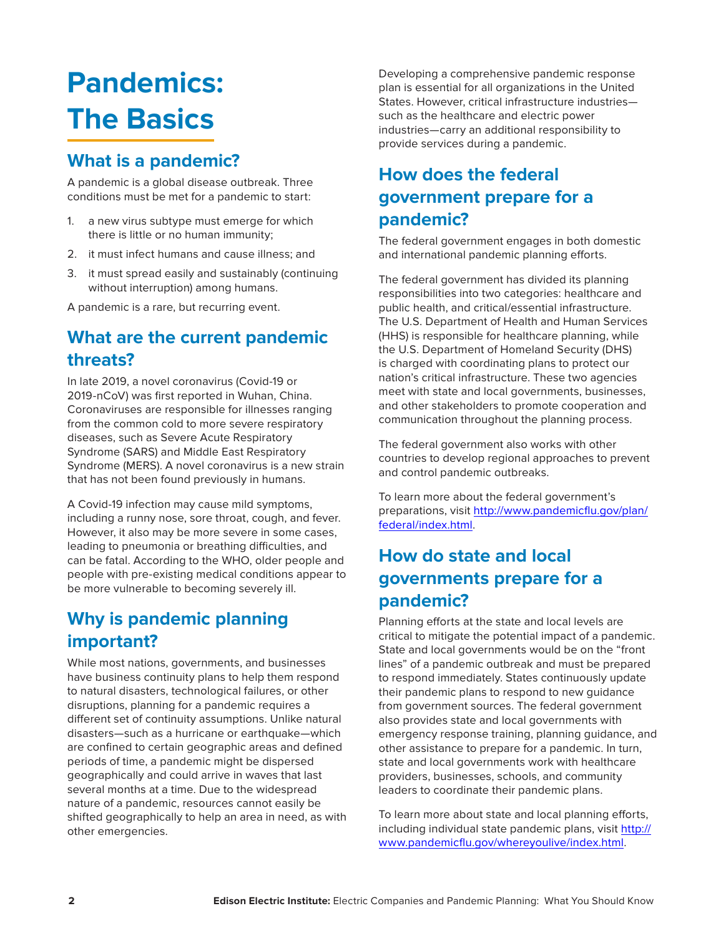## **Pandemics: The Basics**

### **What is a pandemic?**

A pandemic is a global disease outbreak. Three conditions must be met for a pandemic to start:

- 1. a new virus subtype must emerge for which there is little or no human immunity;
- 2. it must infect humans and cause illness; and
- 3. it must spread easily and sustainably (continuing without interruption) among humans.

A pandemic is a rare, but recurring event.

## **What are the current pandemic threats?**

In late 2019, a novel coronavirus (Covid-19 or 2019-nCoV) was first reported in Wuhan, China. Coronaviruses are responsible for illnesses ranging from the common cold to more severe respiratory diseases, such as Severe Acute Respiratory Syndrome (SARS) and Middle East Respiratory Syndrome (MERS). A novel coronavirus is a new strain that has not been found previously in humans.

A Covid-19 infection may cause mild symptoms, including a runny nose, sore throat, cough, and fever. However, it also may be more severe in some cases, leading to pneumonia or breathing difficulties, and can be fatal. According to the WHO, older people and people with pre-existing medical conditions appear to be more vulnerable to becoming severely ill.

## **Why is pandemic planning important?**

While most nations, governments, and businesses have business continuity plans to help them respond to natural disasters, technological failures, or other disruptions, planning for a pandemic requires a different set of continuity assumptions. Unlike natural disasters—such as a hurricane or earthquake—which are confined to certain geographic areas and defined periods of time, a pandemic might be dispersed geographically and could arrive in waves that last several months at a time. Due to the widespread nature of a pandemic, resources cannot easily be shifted geographically to help an area in need, as with other emergencies.

Developing a comprehensive pandemic response plan is essential for all organizations in the United States. However, critical infrastructure industries such as the healthcare and electric power industries—carry an additional responsibility to provide services during a pandemic.

## **How does the federal government prepare for a pandemic?**

The federal government engages in both domestic and international pandemic planning efforts.

The federal government has divided its planning responsibilities into two categories: healthcare and public health, and critical/essential infrastructure. The U.S. Department of Health and Human Services (HHS) is responsible for healthcare planning, while the U.S. Department of Homeland Security (DHS) is charged with coordinating plans to protect our nation's critical infrastructure. These two agencies meet with state and local governments, businesses, and other stakeholders to promote cooperation and communication throughout the planning process.

The federal government also works with other countries to develop regional approaches to prevent and control pandemic outbreaks.

To learn more about the federal government's preparations, visit [http://www.pandemicflu.gov/plan/](http://www.pandemicflu.gov/plan/federal/index.html) [federal/index.html](http://www.pandemicflu.gov/plan/federal/index.html).

## **How do state and local governments prepare for a pandemic?**

Planning efforts at the state and local levels are critical to mitigate the potential impact of a pandemic. State and local governments would be on the "front lines" of a pandemic outbreak and must be prepared to respond immediately. States continuously update their pandemic plans to respond to new guidance from government sources. The federal government also provides state and local governments with emergency response training, planning guidance, and other assistance to prepare for a pandemic. In turn, state and local governments work with healthcare providers, businesses, schools, and community leaders to coordinate their pandemic plans.

To learn more about state and local planning efforts, including individual state pandemic plans, visit [http://](http://www.pandemicflu.gov/whereyoulive/index.html) [www.pandemicflu.gov/whereyoulive/index.html.](http://www.pandemicflu.gov/whereyoulive/index.html)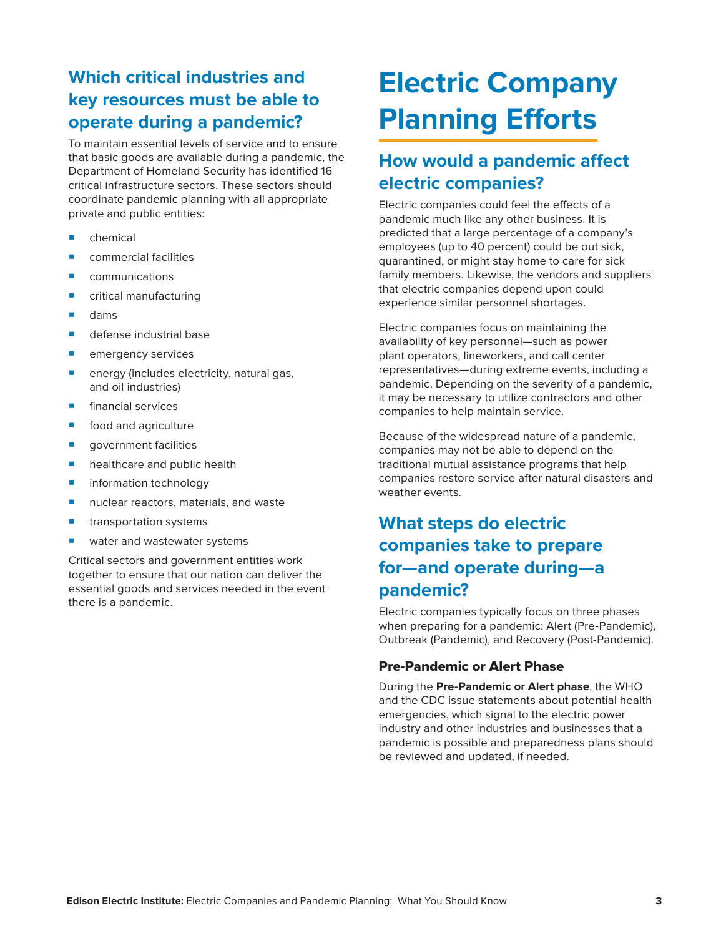## **Which critical industries and key resources must be able to operate during a pandemic?**

To maintain essential levels of service and to ensure that basic goods are available during a pandemic, the Department of Homeland Security has identified 16 critical infrastructure sectors. These sectors should coordinate pandemic planning with all appropriate private and public entities:

- ¡ chemical
- **commercial facilities**
- communications
- **•** critical manufacturing
- ¡ dams
- defense industrial base
- **E** emergency services
- **E** energy (includes electricity, natural gas, and oil industries)
- financial services
- **•** food and agriculture
- **qovernment facilities**
- **EXECUTE:** healthcare and public health
- **·** information technology
- nuclear reactors, materials, and waste
- **u** transportation systems
- water and wastewater systems

Critical sectors and government entities work together to ensure that our nation can deliver the essential goods and services needed in the event there is a pandemic.

## **Electric Company Planning Efforts**

## **How would a pandemic affect electric companies?**

Electric companies could feel the effects of a pandemic much like any other business. It is predicted that a large percentage of a company's employees (up to 40 percent) could be out sick, quarantined, or might stay home to care for sick family members. Likewise, the vendors and suppliers that electric companies depend upon could experience similar personnel shortages.

Electric companies focus on maintaining the availability of key personnel—such as power plant operators, lineworkers, and call center representatives—during extreme events, including a pandemic. Depending on the severity of a pandemic, it may be necessary to utilize contractors and other companies to help maintain service.

Because of the widespread nature of a pandemic, companies may not be able to depend on the traditional mutual assistance programs that help companies restore service after natural disasters and weather events.

## **What steps do electric companies take to prepare for—and operate during—a pandemic?**

Electric companies typically focus on three phases when preparing for a pandemic: Alert (Pre-Pandemic), Outbreak (Pandemic), and Recovery (Post-Pandemic).

#### Pre-Pandemic or Alert Phase

During the **Pre-Pandemic or Alert phase**, the WHO and the CDC issue statements about potential health emergencies, which signal to the electric power industry and other industries and businesses that a pandemic is possible and preparedness plans should be reviewed and updated, if needed.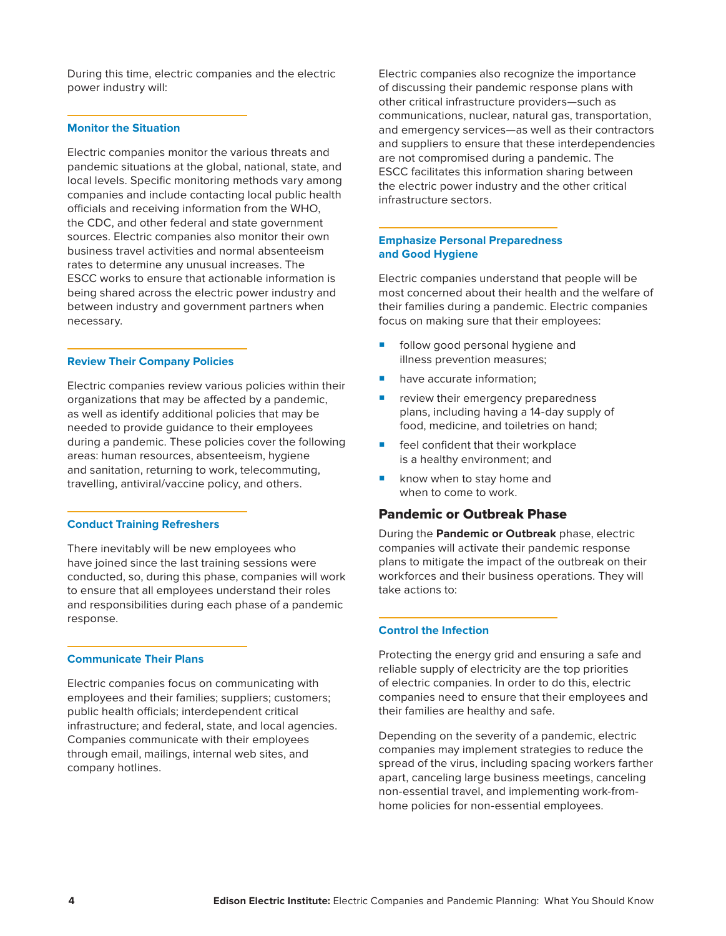During this time, electric companies and the electric power industry will:

#### **Monitor the Situation**

Electric companies monitor the various threats and pandemic situations at the global, national, state, and local levels. Specific monitoring methods vary among companies and include contacting local public health officials and receiving information from the WHO, the CDC, and other federal and state government sources. Electric companies also monitor their own business travel activities and normal absenteeism rates to determine any unusual increases. The ESCC works to ensure that actionable information is being shared across the electric power industry and between industry and government partners when necessary.

#### **Review Their Company Policies**

Electric companies review various policies within their organizations that may be affected by a pandemic, as well as identify additional policies that may be needed to provide guidance to their employees during a pandemic. These policies cover the following areas: human resources, absenteeism, hygiene and sanitation, returning to work, telecommuting, travelling, antiviral/vaccine policy, and others.

#### **Conduct Training Refreshers**

There inevitably will be new employees who have joined since the last training sessions were conducted, so, during this phase, companies will work to ensure that all employees understand their roles and responsibilities during each phase of a pandemic response.

#### **Communicate Their Plans**

Electric companies focus on communicating with employees and their families; suppliers; customers; public health officials; interdependent critical infrastructure; and federal, state, and local agencies. Companies communicate with their employees through email, mailings, internal web sites, and company hotlines.

Electric companies also recognize the importance of discussing their pandemic response plans with other critical infrastructure providers—such as communications, nuclear, natural gas, transportation, and emergency services—as well as their contractors and suppliers to ensure that these interdependencies are not compromised during a pandemic. The ESCC facilitates this information sharing between the electric power industry and the other critical infrastructure sectors.

#### **Emphasize Personal Preparedness and Good Hygiene**

Electric companies understand that people will be most concerned about their health and the welfare of their families during a pandemic. Electric companies focus on making sure that their employees:

- **•** follow good personal hygiene and illness prevention measures;
- **•** have accurate information;
- **EXP** review their emergency preparedness plans, including having a 14-day supply of food, medicine, and toiletries on hand;
- feel confident that their workplace is a healthy environment; and
- know when to stay home and when to come to work.

#### Pandemic or Outbreak Phase

During the **Pandemic or Outbreak** phase, electric companies will activate their pandemic response plans to mitigate the impact of the outbreak on their workforces and their business operations. They will take actions to:

#### **Control the Infection**

Protecting the energy grid and ensuring a safe and reliable supply of electricity are the top priorities of electric companies. In order to do this, electric companies need to ensure that their employees and their families are healthy and safe.

Depending on the severity of a pandemic, electric companies may implement strategies to reduce the spread of the virus, including spacing workers farther apart, canceling large business meetings, canceling non-essential travel, and implementing work-fromhome policies for non-essential employees.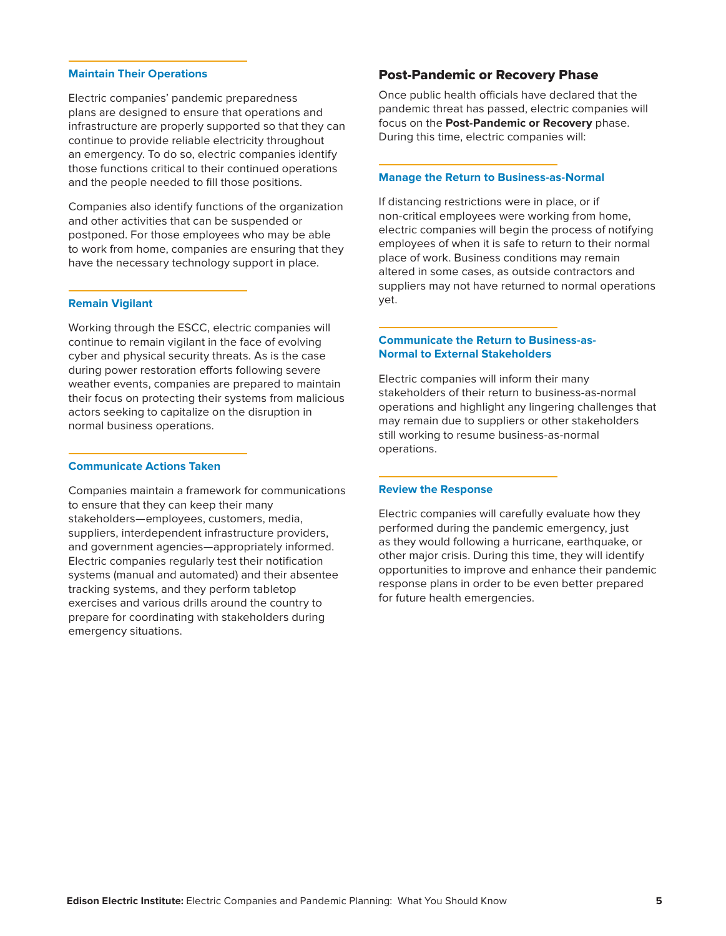#### **Maintain Their Operations**

Electric companies' pandemic preparedness plans are designed to ensure that operations and infrastructure are properly supported so that they can continue to provide reliable electricity throughout an emergency. To do so, electric companies identify those functions critical to their continued operations and the people needed to fill those positions.

Companies also identify functions of the organization and other activities that can be suspended or postponed. For those employees who may be able to work from home, companies are ensuring that they have the necessary technology support in place.

#### **Remain Vigilant**

Working through the ESCC, electric companies will continue to remain vigilant in the face of evolving cyber and physical security threats. As is the case during power restoration efforts following severe weather events, companies are prepared to maintain their focus on protecting their systems from malicious actors seeking to capitalize on the disruption in normal business operations.

#### **Communicate Actions Taken**

Companies maintain a framework for communications to ensure that they can keep their many stakeholders—employees, customers, media, suppliers, interdependent infrastructure providers, and government agencies—appropriately informed. Electric companies regularly test their notification systems (manual and automated) and their absentee tracking systems, and they perform tabletop exercises and various drills around the country to prepare for coordinating with stakeholders during emergency situations.

#### Post-Pandemic or Recovery Phase

Once public health officials have declared that the pandemic threat has passed, electric companies will focus on the **Post-Pandemic or Recovery** phase. During this time, electric companies will:

#### **Manage the Return to Business-as-Normal**

If distancing restrictions were in place, or if non-critical employees were working from home, electric companies will begin the process of notifying employees of when it is safe to return to their normal place of work. Business conditions may remain altered in some cases, as outside contractors and suppliers may not have returned to normal operations yet.

#### **Communicate the Return to Business-as-Normal to External Stakeholders**

Electric companies will inform their many stakeholders of their return to business-as-normal operations and highlight any lingering challenges that may remain due to suppliers or other stakeholders still working to resume business-as-normal operations.

#### **Review the Response**

Electric companies will carefully evaluate how they performed during the pandemic emergency, just as they would following a hurricane, earthquake, or other major crisis. During this time, they will identify opportunities to improve and enhance their pandemic response plans in order to be even better prepared for future health emergencies.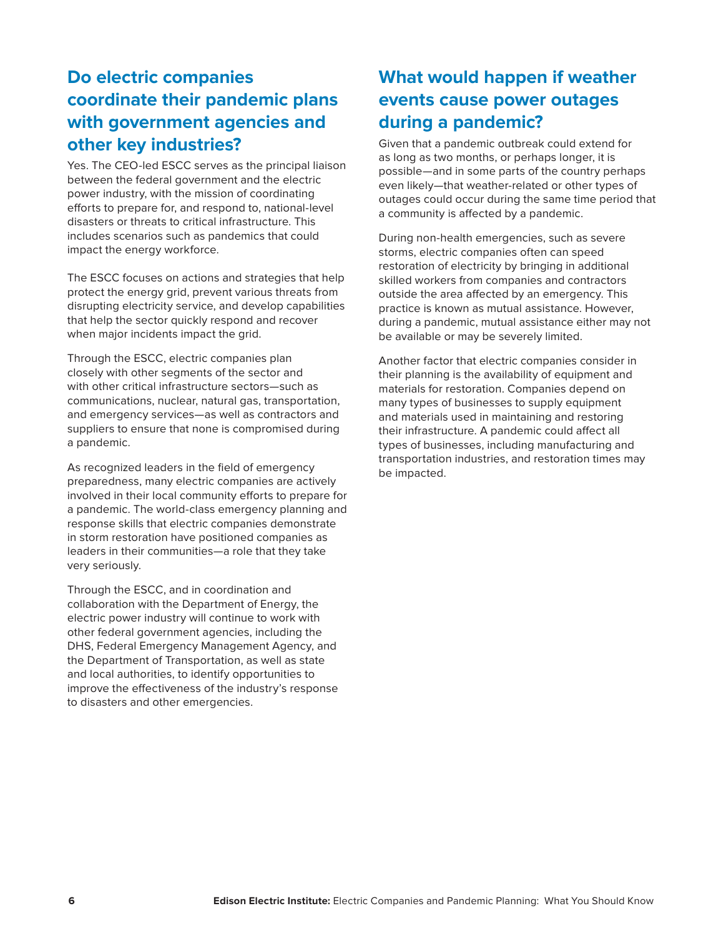## **Do electric companies coordinate their pandemic plans with government agencies and other key industries?**

Yes. The CEO-led ESCC serves as the principal liaison between the federal government and the electric power industry, with the mission of coordinating efforts to prepare for, and respond to, national-level disasters or threats to critical infrastructure. This includes scenarios such as pandemics that could impact the energy workforce.

The ESCC focuses on actions and strategies that help protect the energy grid, prevent various threats from disrupting electricity service, and develop capabilities that help the sector quickly respond and recover when major incidents impact the grid.

Through the ESCC, electric companies plan closely with other segments of the sector and with other critical infrastructure sectors—such as communications, nuclear, natural gas, transportation, and emergency services—as well as contractors and suppliers to ensure that none is compromised during a pandemic.

As recognized leaders in the field of emergency preparedness, many electric companies are actively involved in their local community efforts to prepare for a pandemic. The world-class emergency planning and response skills that electric companies demonstrate in storm restoration have positioned companies as leaders in their communities—a role that they take very seriously.

Through the ESCC, and in coordination and collaboration with the Department of Energy, the electric power industry will continue to work with other federal government agencies, including the DHS, Federal Emergency Management Agency, and the Department of Transportation, as well as state and local authorities, to identify opportunities to improve the effectiveness of the industry's response to disasters and other emergencies.

## **What would happen if weather events cause power outages during a pandemic?**

Given that a pandemic outbreak could extend for as long as two months, or perhaps longer, it is possible—and in some parts of the country perhaps even likely—that weather-related or other types of outages could occur during the same time period that a community is affected by a pandemic.

During non-health emergencies, such as severe storms, electric companies often can speed restoration of electricity by bringing in additional skilled workers from companies and contractors outside the area affected by an emergency. This practice is known as mutual assistance. However, during a pandemic, mutual assistance either may not be available or may be severely limited.

Another factor that electric companies consider in their planning is the availability of equipment and materials for restoration. Companies depend on many types of businesses to supply equipment and materials used in maintaining and restoring their infrastructure. A pandemic could affect all types of businesses, including manufacturing and transportation industries, and restoration times may be impacted.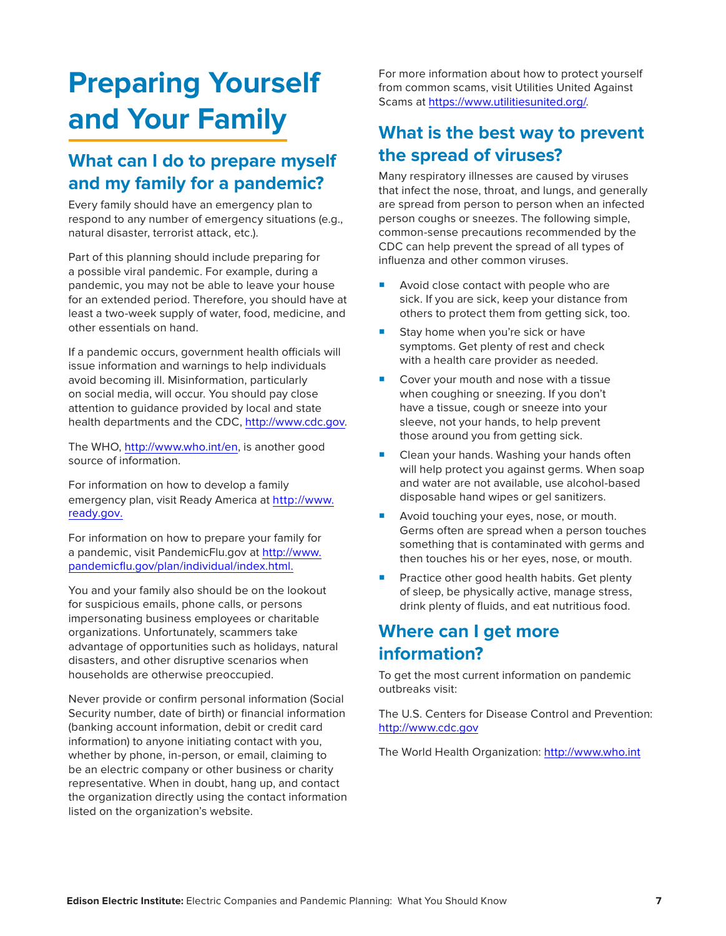### **What can I do to prepare myself and my family for a pandemic?**

Every family should have an emergency plan to respond to any number of emergency situations (e.g., natural disaster, terrorist attack, etc.).

Part of this planning should include preparing for a possible viral pandemic. For example, during a pandemic, you may not be able to leave your house for an extended period. Therefore, you should have at least a two-week supply of water, food, medicine, and other essentials on hand.

If a pandemic occurs, government health officials will issue information and warnings to help individuals avoid becoming ill. Misinformation, particularly on social media, will occur. You should pay close attention to guidance provided by local and state health departments and the CDC, [http://www.cdc.gov.](http://www.cdc.gov)

The WHO, <http://www.who.int/en>, is another good source of information.

For information on how to develop a family emergency plan, visit Ready America at [http://www.](http://www.ready.gov) [ready.gov.](http://www.ready.gov)

For information on how to prepare your family for a pandemic, visit PandemicFlu.gov at [http://www.](http://www.pandemicflu.gov/plan/individual/index.html.) [pandemicflu.gov/plan/individual/index.html.](http://www.pandemicflu.gov/plan/individual/index.html.)

You and your family also should be on the lookout for suspicious emails, phone calls, or persons impersonating business employees or charitable organizations. Unfortunately, scammers take advantage of opportunities such as holidays, natural disasters, and other disruptive scenarios when households are otherwise preoccupied.

Never provide or confirm personal information (Social Security number, date of birth) or financial information (banking account information, debit or credit card information) to anyone initiating contact with you, whether by phone, in-person, or email, claiming to be an electric company or other business or charity representative. When in doubt, hang up, and contact the organization directly using the contact information listed on the organization's website.

For more information about how to protect yourself from common scams, visit Utilities United Against Scams at <https://www.utilitiesunited.org/>.

## **What is the best way to prevent the spread of viruses?**

Many respiratory illnesses are caused by viruses that infect the nose, throat, and lungs, and generally are spread from person to person when an infected person coughs or sneezes. The following simple, common-sense precautions recommended by the CDC can help prevent the spread of all types of influenza and other common viruses.

- Avoid close contact with people who are sick. If you are sick, keep your distance from others to protect them from getting sick, too.
- **Stay home when you're sick or have** symptoms. Get plenty of rest and check with a health care provider as needed.
- Cover your mouth and nose with a tissue when coughing or sneezing. If you don't have a tissue, cough or sneeze into your sleeve, not your hands, to help prevent those around you from getting sick.
- Clean your hands. Washing your hands often will help protect you against germs. When soap and water are not available, use alcohol-based disposable hand wipes or gel sanitizers.
- **E** Avoid touching your eyes, nose, or mouth. Germs often are spread when a person touches something that is contaminated with germs and then touches his or her eyes, nose, or mouth.
- **Practice other good health habits. Get plenty** of sleep, be physically active, manage stress, drink plenty of fluids, and eat nutritious food.

## **Where can I get more information?**

To get the most current information on pandemic outbreaks visit:

The U.S. Centers for Disease Control and Prevention: <http://www.cdc.gov>

The World Health Organization:<http://www.who.int>